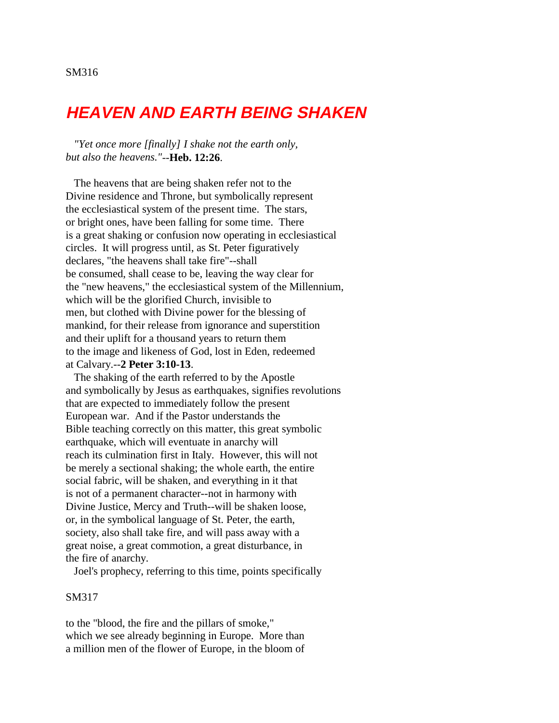# **HEAVEN AND EARTH BEING SHAKEN**

 *"Yet once more [finally] I shake not the earth only, but also the heavens."*--**Heb. 12:26**.

 The heavens that are being shaken refer not to the Divine residence and Throne, but symbolically represent the ecclesiastical system of the present time. The stars, or bright ones, have been falling for some time. There is a great shaking or confusion now operating in ecclesiastical circles. It will progress until, as St. Peter figuratively declares, "the heavens shall take fire"--shall be consumed, shall cease to be, leaving the way clear for the "new heavens," the ecclesiastical system of the Millennium, which will be the glorified Church, invisible to men, but clothed with Divine power for the blessing of mankind, for their release from ignorance and superstition and their uplift for a thousand years to return them to the image and likeness of God, lost in Eden, redeemed at Calvary.--**2 Peter 3:10-13**.

 The shaking of the earth referred to by the Apostle and symbolically by Jesus as earthquakes, signifies revolutions that are expected to immediately follow the present European war. And if the Pastor understands the Bible teaching correctly on this matter, this great symbolic earthquake, which will eventuate in anarchy will reach its culmination first in Italy. However, this will not be merely a sectional shaking; the whole earth, the entire social fabric, will be shaken, and everything in it that is not of a permanent character--not in harmony with Divine Justice, Mercy and Truth--will be shaken loose, or, in the symbolical language of St. Peter, the earth, society, also shall take fire, and will pass away with a great noise, a great commotion, a great disturbance, in the fire of anarchy.

Joel's prophecy, referring to this time, points specifically

### SM317

to the "blood, the fire and the pillars of smoke," which we see already beginning in Europe. More than a million men of the flower of Europe, in the bloom of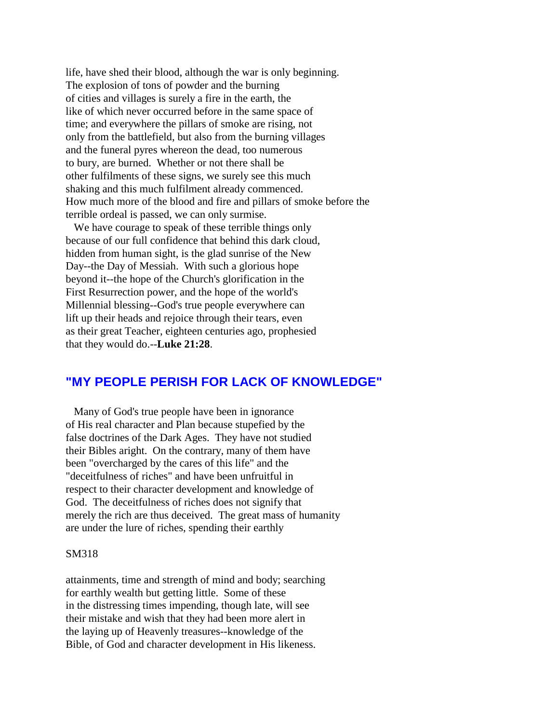life, have shed their blood, although the war is only beginning. The explosion of tons of powder and the burning of cities and villages is surely a fire in the earth, the like of which never occurred before in the same space of time; and everywhere the pillars of smoke are rising, not only from the battlefield, but also from the burning villages and the funeral pyres whereon the dead, too numerous to bury, are burned. Whether or not there shall be other fulfilments of these signs, we surely see this much shaking and this much fulfilment already commenced. How much more of the blood and fire and pillars of smoke before the terrible ordeal is passed, we can only surmise.

 We have courage to speak of these terrible things only because of our full confidence that behind this dark cloud, hidden from human sight, is the glad sunrise of the New Day--the Day of Messiah. With such a glorious hope beyond it--the hope of the Church's glorification in the First Resurrection power, and the hope of the world's Millennial blessing--God's true people everywhere can lift up their heads and rejoice through their tears, even as their great Teacher, eighteen centuries ago, prophesied that they would do.--**Luke 21:28**.

## **"MY PEOPLE PERISH FOR LACK OF KNOWLEDGE"**

 Many of God's true people have been in ignorance of His real character and Plan because stupefied by the false doctrines of the Dark Ages. They have not studied their Bibles aright. On the contrary, many of them have been "overcharged by the cares of this life" and the "deceitfulness of riches" and have been unfruitful in respect to their character development and knowledge of God. The deceitfulness of riches does not signify that merely the rich are thus deceived. The great mass of humanity are under the lure of riches, spending their earthly

## SM318

attainments, time and strength of mind and body; searching for earthly wealth but getting little. Some of these in the distressing times impending, though late, will see their mistake and wish that they had been more alert in the laying up of Heavenly treasures--knowledge of the Bible, of God and character development in His likeness.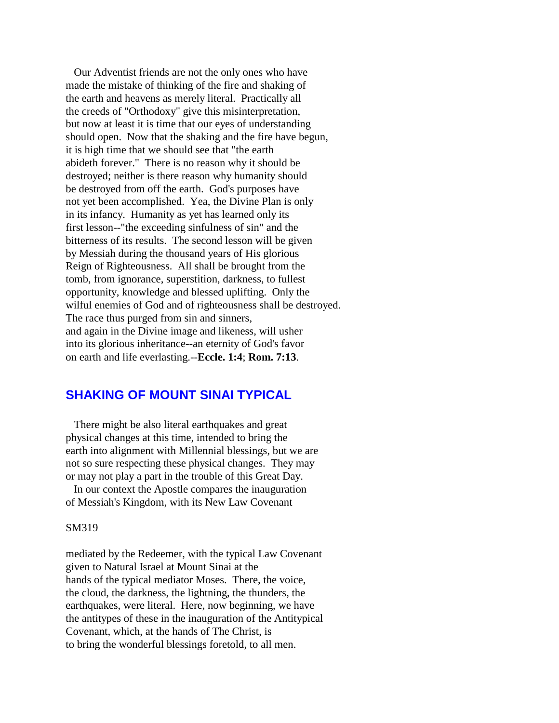Our Adventist friends are not the only ones who have made the mistake of thinking of the fire and shaking of the earth and heavens as merely literal. Practically all the creeds of "Orthodoxy" give this misinterpretation, but now at least it is time that our eyes of understanding should open. Now that the shaking and the fire have begun, it is high time that we should see that "the earth abideth forever." There is no reason why it should be destroyed; neither is there reason why humanity should be destroyed from off the earth. God's purposes have not yet been accomplished. Yea, the Divine Plan is only in its infancy. Humanity as yet has learned only its first lesson--"the exceeding sinfulness of sin" and the bitterness of its results. The second lesson will be given by Messiah during the thousand years of His glorious Reign of Righteousness. All shall be brought from the tomb, from ignorance, superstition, darkness, to fullest opportunity, knowledge and blessed uplifting. Only the wilful enemies of God and of righteousness shall be destroyed. The race thus purged from sin and sinners, and again in the Divine image and likeness, will usher into its glorious inheritance--an eternity of God's favor on earth and life everlasting.--**Eccle. 1:4**; **Rom. 7:13**.

# **SHAKING OF MOUNT SINAI TYPICAL**

 There might be also literal earthquakes and great physical changes at this time, intended to bring the earth into alignment with Millennial blessings, but we are not so sure respecting these physical changes. They may or may not play a part in the trouble of this Great Day.

 In our context the Apostle compares the inauguration of Messiah's Kingdom, with its New Law Covenant

## SM319

mediated by the Redeemer, with the typical Law Covenant given to Natural Israel at Mount Sinai at the hands of the typical mediator Moses. There, the voice, the cloud, the darkness, the lightning, the thunders, the earthquakes, were literal. Here, now beginning, we have the antitypes of these in the inauguration of the Antitypical Covenant, which, at the hands of The Christ, is to bring the wonderful blessings foretold, to all men.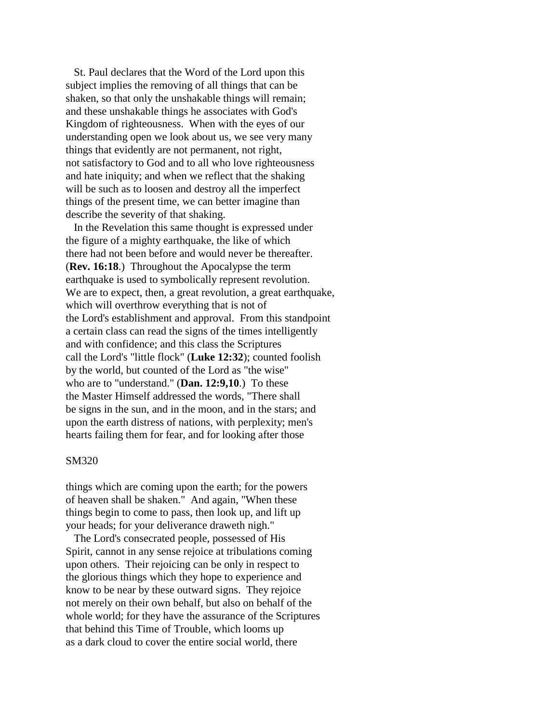St. Paul declares that the Word of the Lord upon this subject implies the removing of all things that can be shaken, so that only the unshakable things will remain; and these unshakable things he associates with God's Kingdom of righteousness. When with the eyes of our understanding open we look about us, we see very many things that evidently are not permanent, not right, not satisfactory to God and to all who love righteousness and hate iniquity; and when we reflect that the shaking will be such as to loosen and destroy all the imperfect things of the present time, we can better imagine than describe the severity of that shaking.

 In the Revelation this same thought is expressed under the figure of a mighty earthquake, the like of which there had not been before and would never be thereafter. (**Rev. 16:18**.) Throughout the Apocalypse the term earthquake is used to symbolically represent revolution. We are to expect, then, a great revolution, a great earthquake, which will overthrow everything that is not of the Lord's establishment and approval. From this standpoint a certain class can read the signs of the times intelligently and with confidence; and this class the Scriptures call the Lord's "little flock" (**Luke 12:32**); counted foolish by the world, but counted of the Lord as "the wise" who are to "understand." (**Dan. 12:9,10**.) To these the Master Himself addressed the words, "There shall be signs in the sun, and in the moon, and in the stars; and upon the earth distress of nations, with perplexity; men's hearts failing them for fear, and for looking after those

#### SM320

things which are coming upon the earth; for the powers of heaven shall be shaken." And again, "When these things begin to come to pass, then look up, and lift up your heads; for your deliverance draweth nigh."

 The Lord's consecrated people, possessed of His Spirit, cannot in any sense rejoice at tribulations coming upon others. Their rejoicing can be only in respect to the glorious things which they hope to experience and know to be near by these outward signs. They rejoice not merely on their own behalf, but also on behalf of the whole world; for they have the assurance of the Scriptures that behind this Time of Trouble, which looms up as a dark cloud to cover the entire social world, there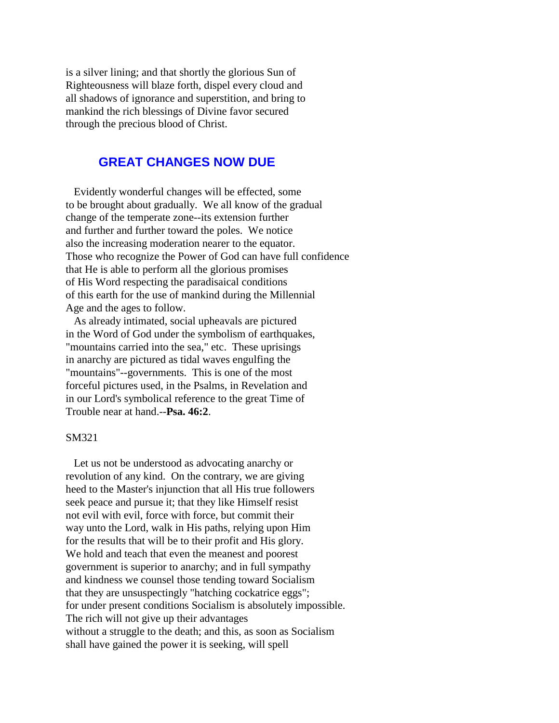is a silver lining; and that shortly the glorious Sun of Righteousness will blaze forth, dispel every cloud and all shadows of ignorance and superstition, and bring to mankind the rich blessings of Divine favor secured through the precious blood of Christ.

# **GREAT CHANGES NOW DUE**

 Evidently wonderful changes will be effected, some to be brought about gradually. We all know of the gradual change of the temperate zone--its extension further and further and further toward the poles. We notice also the increasing moderation nearer to the equator. Those who recognize the Power of God can have full confidence that He is able to perform all the glorious promises of His Word respecting the paradisaical conditions of this earth for the use of mankind during the Millennial Age and the ages to follow.

 As already intimated, social upheavals are pictured in the Word of God under the symbolism of earthquakes, "mountains carried into the sea," etc. These uprisings in anarchy are pictured as tidal waves engulfing the "mountains"--governments. This is one of the most forceful pictures used, in the Psalms, in Revelation and in our Lord's symbolical reference to the great Time of Trouble near at hand.--**Psa. 46:2**.

## SM321

 Let us not be understood as advocating anarchy or revolution of any kind. On the contrary, we are giving heed to the Master's injunction that all His true followers seek peace and pursue it; that they like Himself resist not evil with evil, force with force, but commit their way unto the Lord, walk in His paths, relying upon Him for the results that will be to their profit and His glory. We hold and teach that even the meanest and poorest government is superior to anarchy; and in full sympathy and kindness we counsel those tending toward Socialism that they are unsuspectingly "hatching cockatrice eggs"; for under present conditions Socialism is absolutely impossible. The rich will not give up their advantages without a struggle to the death; and this, as soon as Socialism shall have gained the power it is seeking, will spell